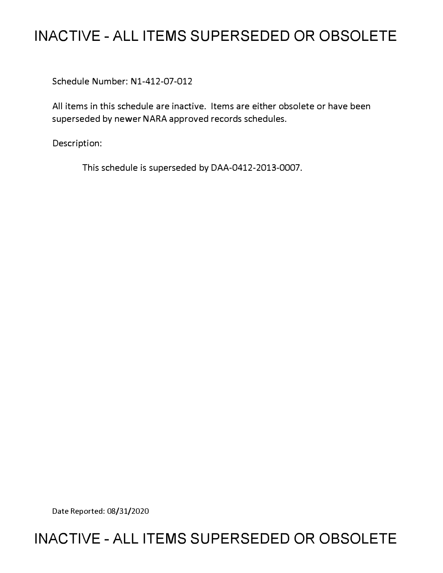# **INACTIVE - ALL ITEMS SUPERSEDED OR OBSOLETE**

Schedule Number: Nl-412-07-012

All items in this schedule are inactive. Items are either obsolete or have been superseded by newer NARA approved records schedules.

Description:

This schedule is superseded by DAA-0412-2013-0007.

Date Reported: 08/31/2020

# **INACTIVE - ALL ITEMS SUPERSEDED OR OBSOLETE**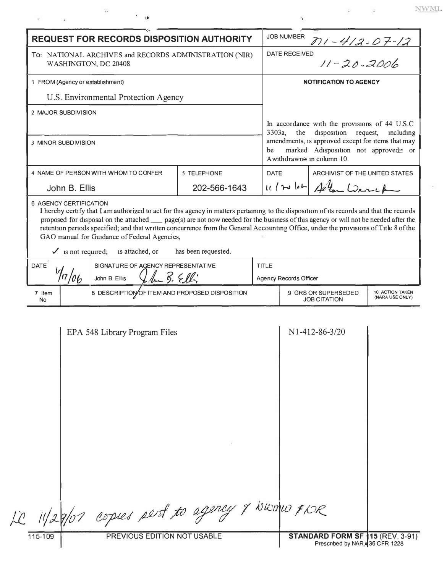| <b>REQUEST FOR RECORDS DISPOSITION AUTHORITY</b>                                                                                                                          |                                                |              |                               | <b>JOB NUMBER</b>                                                                                                                                                                                                                    |                               |                                    |
|---------------------------------------------------------------------------------------------------------------------------------------------------------------------------|------------------------------------------------|--------------|-------------------------------|--------------------------------------------------------------------------------------------------------------------------------------------------------------------------------------------------------------------------------------|-------------------------------|------------------------------------|
| To: NATIONAL ARCHIVES and RECORDS ADMINISTRATION (NIR)<br>WASHINGTON, DC 20408                                                                                            |                                                |              |                               | <u>771 - 412 - 07 - 12</u><br>D<br>11 - 20 - 2006<br>DATE RECEIVED                                                                                                                                                                   |                               |                                    |
| 1 FROM (Agency or establishment)                                                                                                                                          |                                                |              |                               | <b>NOTIFICATION TO AGENCY</b>                                                                                                                                                                                                        |                               |                                    |
| U.S. Environmental Protection Agency                                                                                                                                      |                                                |              |                               |                                                                                                                                                                                                                                      |                               |                                    |
| 2 MAJOR SUBDIVISION                                                                                                                                                       |                                                |              |                               |                                                                                                                                                                                                                                      |                               |                                    |
|                                                                                                                                                                           |                                                |              |                               | In accordance with the provisions of 44 U.S.C<br>3303a,<br>disposition request,<br>the<br>including<br>amendments, is approved except for items that may<br>marked Adisposition not approved= or<br>be<br>A withdrawn≅ in column 10. |                               |                                    |
| 3 MINOR SUBDIVISION                                                                                                                                                       |                                                |              |                               |                                                                                                                                                                                                                                      |                               |                                    |
|                                                                                                                                                                           |                                                |              |                               |                                                                                                                                                                                                                                      |                               |                                    |
|                                                                                                                                                                           | 4 NAME OF PERSON WITH WHOM TO CONFER           | 5 TELEPHONE  |                               | ARCHIVIST OF THE UNITED STATES<br>DATE                                                                                                                                                                                               |                               |                                    |
| John B. Ellis                                                                                                                                                             |                                                | 202-566-1643 |                               |                                                                                                                                                                                                                                      | $1112$ $10 - 44$ and $22 - 1$ |                                    |
| GAO manual for Guidance of Federal Agencies,<br>$\checkmark$ is not required; is attached, or<br>has been requested.<br>SIGNATURE OF AGENCY REPRESENTATIVE<br><b>DATE</b> |                                                |              | <b>TITLE</b>                  |                                                                                                                                                                                                                                      |                               |                                    |
|                                                                                                                                                                           | The B. Elli<br>John B Ellis                    |              | <b>Agency Records Officer</b> |                                                                                                                                                                                                                                      |                               |                                    |
| 7 Item<br><b>No</b>                                                                                                                                                       | 8 DESCRIPTION OF ITEM AND PROPOSED DISPOSITION |              |                               | 9 GRS OR SUPERSEDED<br><b>JOB CITATION</b>                                                                                                                                                                                           |                               | 10 ACTION TAKEN<br>(NARA USE ONLY) |
|                                                                                                                                                                           | EPA 548 Library Program Files                  |              |                               |                                                                                                                                                                                                                                      | $N1 - 412 - 86 - 3/20$        |                                    |
|                                                                                                                                                                           |                                                |              |                               |                                                                                                                                                                                                                                      |                               |                                    |

 $\tilde{\mathcal{A}}$ 

 $\sim$  18

 $\ensuremath{\text{NWML}}$ 

ÿ.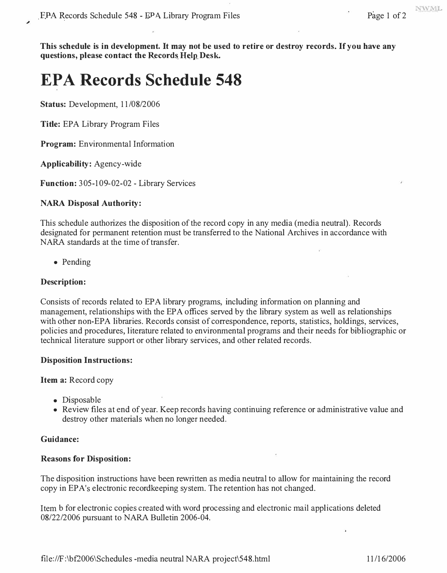NWMI.

**This schedule is in development. It may not be used to retire or destroy records. If you have any**  questions, please contact the Records Help Desk.

# **EPA Records Schedule 548**

**Status:** Development, 11/08/2006

**Title:** EPA Library Program Files

**Program:** Environmental Information

**Applicability:** Agency-wide

**Function:** 305-109-02-02 - Library Services

### **NARA Disposal Authority:**

This schedule authorizes the disposition of the record copy in any media (media neutral). Records designated for permanent retention must be transferred to the National Archives in accordance with NARA standards at the time of transfer.

• Pending

### **Description:**

Consists of records related to EPA library programs, including information on planning and management, relationships with the EPA offices served by the library system as well as relationships with other non-EPA libraries. Records consist of correspondence, reports, statistics, holdings, services, policies and procedures, literature related to environmental programs and their needs for bibliographic or technical literature support or other library services, and other related records.

#### **Disposition Instructions:**

**Item a:** Record copy

- Disposable
- Review files at end of year. Keep records having continuing reference or administrative value and destroy other materials when no longer needed.

#### **Guidance:**

#### **Reasons for Disposition:**

The disposition instructions have been rewritten as media neutral to allow for maintaining the record copy in EP A's electronic recordkeeping system. The retention has not changed.

Item b for electronic copies created with word processing and electronic mail applications deleted 08/22/2006 pursuant to NARA Bulletin 2006-04.